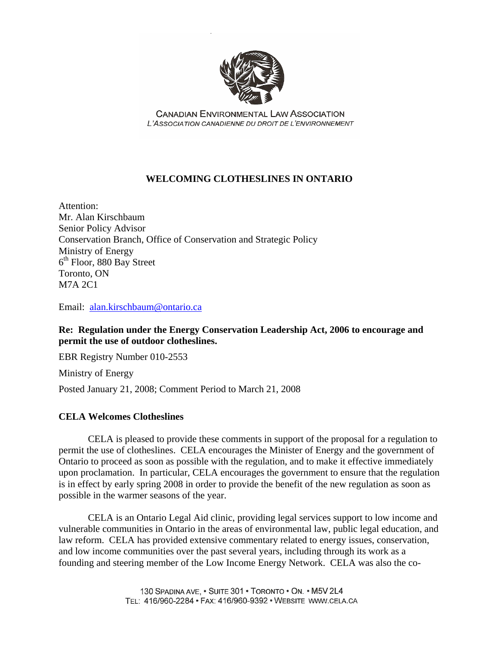

**CANADIAN ENVIRONMENTAL LAW ASSOCIATION** I 'ASSOCIATION CANADIENNE DU DROIT DE L'ENVIRONNEMENT

# **WELCOMING CLOTHESLINES IN ONTARIO**

Attention: Mr. Alan Kirschbaum Senior Policy Advisor Conservation Branch, Office of Conservation and Strategic Policy Ministry of Energy  $6<sup>th</sup>$  Floor, 880 Bay Street Toronto, ON M7A 2C1

Email: [alan.kirschbaum@ontario.ca](mailto:alan.kirschbaum@ontario.ca)

**Re: Regulation under the Energy Conservation Leadership Act, 2006 to encourage and permit the use of outdoor clotheslines.** 

EBR Registry Number 010-2553

Ministry of Energy

Posted January 21, 2008; Comment Period to March 21, 2008

## **CELA Welcomes Clotheslines**

 CELA is pleased to provide these comments in support of the proposal for a regulation to permit the use of clotheslines. CELA encourages the Minister of Energy and the government of Ontario to proceed as soon as possible with the regulation, and to make it effective immediately upon proclamation. In particular, CELA encourages the government to ensure that the regulation is in effect by early spring 2008 in order to provide the benefit of the new regulation as soon as possible in the warmer seasons of the year.

 CELA is an Ontario Legal Aid clinic, providing legal services support to low income and vulnerable communities in Ontario in the areas of environmental law, public legal education, and law reform. CELA has provided extensive commentary related to energy issues, conservation, and low income communities over the past several years, including through its work as a founding and steering member of the Low Income Energy Network. CELA was also the co-

> 130 SPADINA AVE, . SUITE 301 . TORONTO . ON. . M5V 2L4 TEL: 416/960-2284 · FAX: 416/960-9392 · WEBSITE WWW.CELA.CA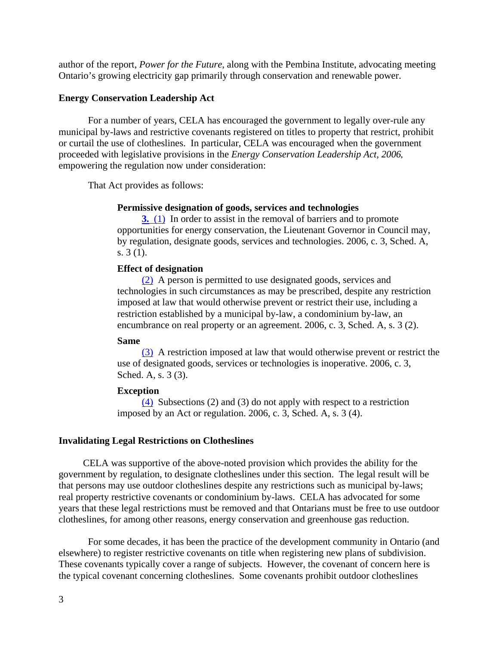author of the report, *Power for the Future*, along with the Pembina Institute, advocating meeting Ontario's growing electricity gap primarily through conservation and renewable power.

### **Energy Conservation Leadership Act**

 For a number of years, CELA has encouraged the government to legally over-rule any municipal by-laws and restrictive covenants registered on titles to property that restrict, prohibit or curtail the use of clotheslines. In particular, CELA was encouraged when the government proceeded with legislative provisions in the *Energy Conservation Leadership Act, 2006***,**  empowering the regulation now under consideration:

That Act provides as follows:

#### **Permissive designation of goods, services and technologies**

**[3.](http://www.e-laws.gov.on.ca/html/statutes/french/elaws_statutes_06e03_f.htm#s3s1)** [\(1\)](http://www.e-laws.gov.on.ca/html/statutes/french/elaws_statutes_06e03_f.htm#s3s1) In order to assist in the removal of barriers and to promote opportunities for energy conservation, the Lieutenant Governor in Council may, by regulation, designate goods, services and technologies. 2006, c. 3, Sched. A, s. 3 (1).

### **Effect of designation**

[\(2\)](http://www.e-laws.gov.on.ca/html/statutes/french/elaws_statutes_06e03_f.htm#s3s2) A person is permitted to use designated goods, services and technologies in such circumstances as may be prescribed, despite any restriction imposed at law that would otherwise prevent or restrict their use, including a restriction established by a municipal by-law, a condominium by-law, an encumbrance on real property or an agreement. 2006, c. 3, Sched. A, s. 3 (2).

#### **Same**

[\(3\)](http://www.e-laws.gov.on.ca/html/statutes/french/elaws_statutes_06e03_f.htm#s3s3) A restriction imposed at law that would otherwise prevent or restrict the use of designated goods, services or technologies is inoperative. 2006, c. 3, Sched. A, s. 3 (3).

### **Exception**

 $(4)$  Subsections (2) and (3) do not apply with respect to a restriction imposed by an Act or regulation. 2006, c. 3, Sched. A, s. 3 (4).

### **Invalidating Legal Restrictions on Clotheslines**

CELA was supportive of the above-noted provision which provides the ability for the government by regulation, to designate clotheslines under this section. The legal result will be that persons may use outdoor clotheslines despite any restrictions such as municipal by-laws; real property restrictive covenants or condominium by-laws. CELA has advocated for some years that these legal restrictions must be removed and that Ontarians must be free to use outdoor clotheslines, for among other reasons, energy conservation and greenhouse gas reduction.

 For some decades, it has been the practice of the development community in Ontario (and elsewhere) to register restrictive covenants on title when registering new plans of subdivision. These covenants typically cover a range of subjects. However, the covenant of concern here is the typical covenant concerning clotheslines. Some covenants prohibit outdoor clotheslines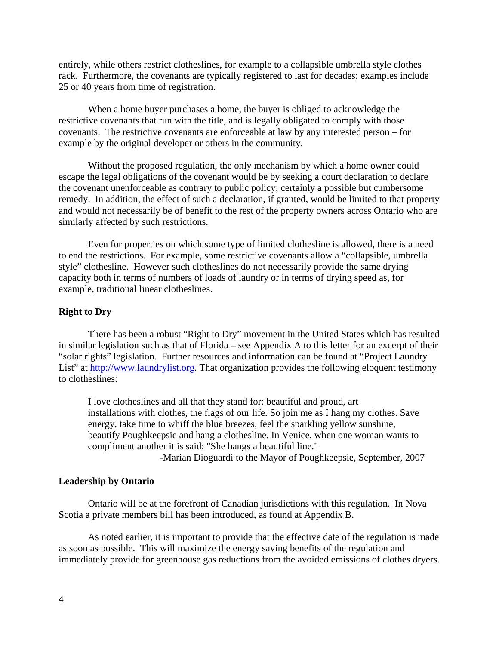entirely, while others restrict clotheslines, for example to a collapsible umbrella style clothes rack. Furthermore, the covenants are typically registered to last for decades; examples include 25 or 40 years from time of registration.

 When a home buyer purchases a home, the buyer is obliged to acknowledge the restrictive covenants that run with the title, and is legally obligated to comply with those covenants. The restrictive covenants are enforceable at law by any interested person – for example by the original developer or others in the community.

 Without the proposed regulation, the only mechanism by which a home owner could escape the legal obligations of the covenant would be by seeking a court declaration to declare the covenant unenforceable as contrary to public policy; certainly a possible but cumbersome remedy. In addition, the effect of such a declaration, if granted, would be limited to that property and would not necessarily be of benefit to the rest of the property owners across Ontario who are similarly affected by such restrictions.

 Even for properties on which some type of limited clothesline is allowed, there is a need to end the restrictions. For example, some restrictive covenants allow a "collapsible, umbrella style" clothesline. However such clotheslines do not necessarily provide the same drying capacity both in terms of numbers of loads of laundry or in terms of drying speed as, for example, traditional linear clotheslines.

### **Right to Dry**

 There has been a robust "Right to Dry" movement in the United States which has resulted in similar legislation such as that of Florida – see Appendix A to this letter for an excerpt of their "solar rights" legislation. Further resources and information can be found at "Project Laundry List" at [http://www.laundrylist.org.](http://www.laundrylist.org/) That organization provides the following eloquent testimony to clotheslines:

I love clotheslines and all that they stand for: beautiful and proud, art installations with clothes, the flags of our life. So join me as I hang my clothes. Save energy, take time to whiff the blue breezes, feel the sparkling yellow sunshine, beautify Poughkeepsie and hang a clothesline. In Venice, when one woman wants to compliment another it is said: "She hangs a beautiful line."

-Marian Dioguardi to the Mayor of Poughkeepsie, September, 2007

### **Leadership by Ontario**

 Ontario will be at the forefront of Canadian jurisdictions with this regulation. In Nova Scotia a private members bill has been introduced, as found at Appendix B.

As noted earlier, it is important to provide that the effective date of the regulation is made as soon as possible. This will maximize the energy saving benefits of the regulation and immediately provide for greenhouse gas reductions from the avoided emissions of clothes dryers.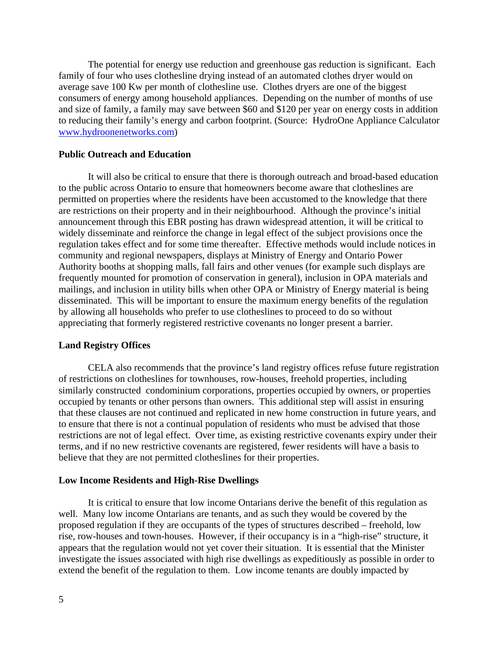The potential for energy use reduction and greenhouse gas reduction is significant. Each family of four who uses clothesline drying instead of an automated clothes dryer would on average save 100 Kw per month of clothesline use. Clothes dryers are one of the biggest consumers of energy among household appliances. Depending on the number of months of use and size of family, a family may save between \$60 and \$120 per year on energy costs in addition to reducing their family's energy and carbon footprint. (Source: HydroOne Appliance Calculator [www.hydroonenetworks.com\)](http://www.hydroonenetworks.com/)

### **Public Outreach and Education**

It will also be critical to ensure that there is thorough outreach and broad-based education to the public across Ontario to ensure that homeowners become aware that clotheslines are permitted on properties where the residents have been accustomed to the knowledge that there are restrictions on their property and in their neighbourhood. Although the province's initial announcement through this EBR posting has drawn widespread attention, it will be critical to widely disseminate and reinforce the change in legal effect of the subject provisions once the regulation takes effect and for some time thereafter. Effective methods would include notices in community and regional newspapers, displays at Ministry of Energy and Ontario Power Authority booths at shopping malls, fall fairs and other venues (for example such displays are frequently mounted for promotion of conservation in general), inclusion in OPA materials and mailings, and inclusion in utility bills when other OPA or Ministry of Energy material is being disseminated. This will be important to ensure the maximum energy benefits of the regulation by allowing all households who prefer to use clotheslines to proceed to do so without appreciating that formerly registered restrictive covenants no longer present a barrier.

#### **Land Registry Offices**

CELA also recommends that the province's land registry offices refuse future registration of restrictions on clotheslines for townhouses, row-houses, freehold properties, including similarly constructed condominium corporations, properties occupied by owners, or properties occupied by tenants or other persons than owners. This additional step will assist in ensuring that these clauses are not continued and replicated in new home construction in future years, and to ensure that there is not a continual population of residents who must be advised that those restrictions are not of legal effect. Over time, as existing restrictive covenants expiry under their terms, and if no new restrictive covenants are registered, fewer residents will have a basis to believe that they are not permitted clotheslines for their properties.

### **Low Income Residents and High-Rise Dwellings**

It is critical to ensure that low income Ontarians derive the benefit of this regulation as well. Many low income Ontarians are tenants, and as such they would be covered by the proposed regulation if they are occupants of the types of structures described – freehold, low rise, row-houses and town-houses. However, if their occupancy is in a "high-rise" structure, it appears that the regulation would not yet cover their situation. It is essential that the Minister investigate the issues associated with high rise dwellings as expeditiously as possible in order to extend the benefit of the regulation to them. Low income tenants are doubly impacted by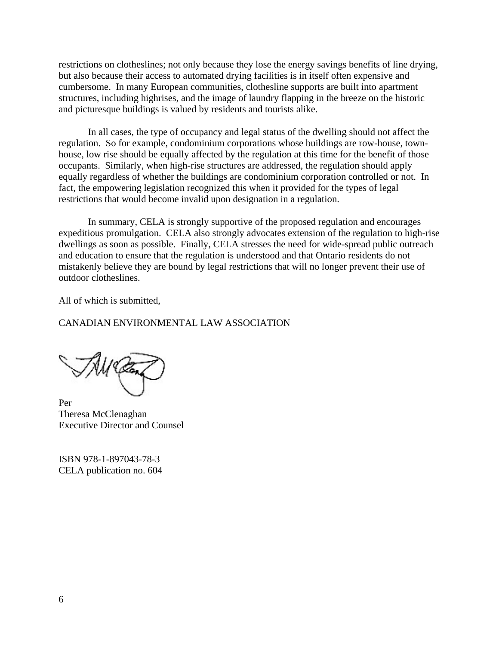restrictions on clotheslines; not only because they lose the energy savings benefits of line drying, but also because their access to automated drying facilities is in itself often expensive and cumbersome. In many European communities, clothesline supports are built into apartment structures, including highrises, and the image of laundry flapping in the breeze on the historic and picturesque buildings is valued by residents and tourists alike.

In all cases, the type of occupancy and legal status of the dwelling should not affect the regulation. So for example, condominium corporations whose buildings are row-house, townhouse, low rise should be equally affected by the regulation at this time for the benefit of those occupants. Similarly, when high-rise structures are addressed, the regulation should apply equally regardless of whether the buildings are condominium corporation controlled or not. In fact, the empowering legislation recognized this when it provided for the types of legal restrictions that would become invalid upon designation in a regulation.

In summary, CELA is strongly supportive of the proposed regulation and encourages expeditious promulgation. CELA also strongly advocates extension of the regulation to high-rise dwellings as soon as possible. Finally, CELA stresses the need for wide-spread public outreach and education to ensure that the regulation is understood and that Ontario residents do not mistakenly believe they are bound by legal restrictions that will no longer prevent their use of outdoor clotheslines.

All of which is submitted,

## CANADIAN ENVIRONMENTAL LAW ASSOCIATION

MŒ

Per Theresa McClenaghan Executive Director and Counsel

ISBN 978-1-897043-78-3 CELA publication no. 604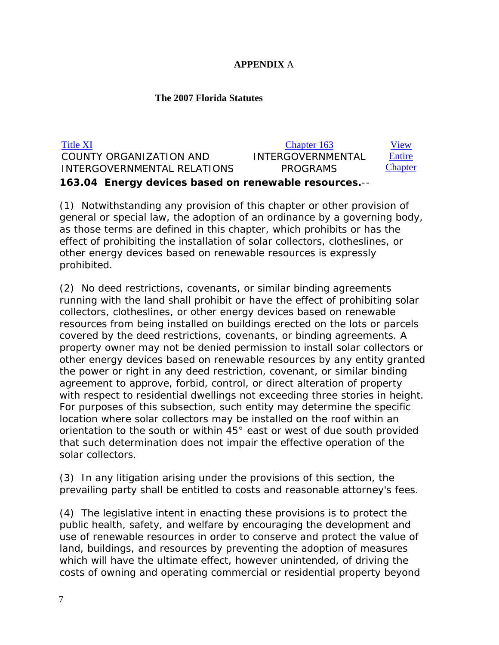# **APPENDIX** A

# **The 2007 Florida Statutes**

| Title XI                                              | Chapter 163              | View           |
|-------------------------------------------------------|--------------------------|----------------|
| COUNTY ORGANIZATION AND                               | <b>INTERGOVERNMENTAL</b> | Entire         |
| INTERGOVERNMENTAL RELATIONS                           | <b>PROGRAMS</b>          | <b>Chapter</b> |
| 163.04 Energy devices based on renewable resources.-- |                          |                |

(1) Notwithstanding any provision of this chapter or other provision of general or special law, the adoption of an ordinance by a governing body, as those terms are defined in this chapter, which prohibits or has the effect of prohibiting the installation of solar collectors, clotheslines, or other energy devices based on renewable resources is expressly prohibited.

(2) No deed restrictions, covenants, or similar binding agreements running with the land shall prohibit or have the effect of prohibiting solar collectors, clotheslines, or other energy devices based on renewable resources from being installed on buildings erected on the lots or parcels covered by the deed restrictions, covenants, or binding agreements. A property owner may not be denied permission to install solar collectors or other energy devices based on renewable resources by any entity granted the power or right in any deed restriction, covenant, or similar binding agreement to approve, forbid, control, or direct alteration of property with respect to residential dwellings not exceeding three stories in height. For purposes of this subsection, such entity may determine the specific location where solar collectors may be installed on the roof within an orientation to the south or within 45° east or west of due south provided that such determination does not impair the effective operation of the solar collectors.

(3) In any litigation arising under the provisions of this section, the prevailing party shall be entitled to costs and reasonable attorney's fees.

(4) The legislative intent in enacting these provisions is to protect the public health, safety, and welfare by encouraging the development and use of renewable resources in order to conserve and protect the value of land, buildings, and resources by preventing the adoption of measures which will have the ultimate effect, however unintended, of driving the costs of owning and operating commercial or residential property beyond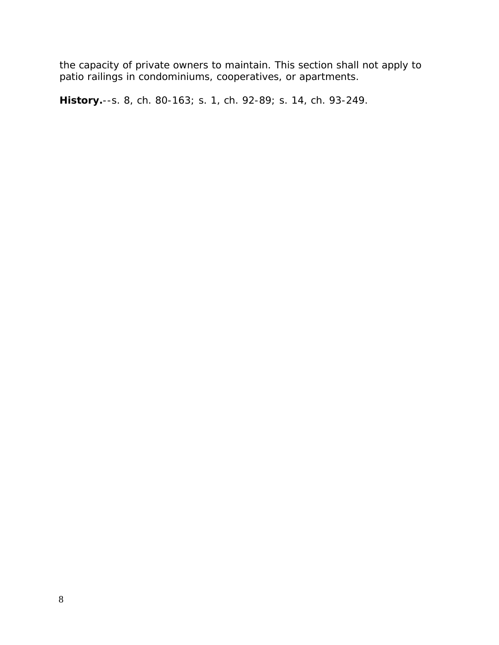the capacity of private owners to maintain. This section shall not apply to patio railings in condominiums, cooperatives, or apartments.

**History.**--s. 8, ch. 80-163; s. 1, ch. 92-89; s. 14, ch. 93-249.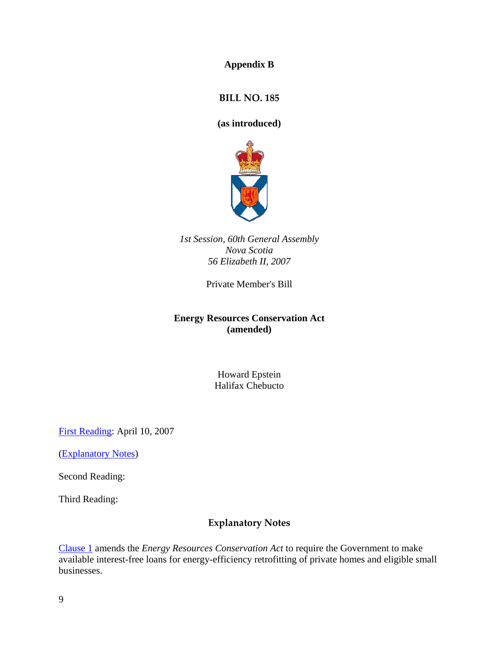**Appendix B** 

**BILL NO. 185**

**(as introduced)** 



*1st Session, 60th General Assembly Nova Scotia 56 Elizabeth II, 2007* 

Private Member's Bill

# **Energy Resources Conservation Act (amended)**

Howard Epstein Halifax Chebucto

[First Reading:](http://www.gov.ns.ca/LEGISLATURE/LEGC/bills/60th_1st/1st_read/b185.htm#text) April 10, 2007

([Explanatory Notes\)](http://www.gov.ns.ca/LEGISLATURE/LEGC/bills/60th_1st/1st_read/b185.htm#notes)

Second Reading:

Third Reading:

# **Explanatory Notes**

[Clause 1](http://www.gov.ns.ca/LEGISLATURE/LEGC/bills/60th_1st/1st_read/b185.htm#s1) amends the *Energy Resources Conservation Act* to require the Government to make available interest-free loans for energy-efficiency retrofitting of private homes and eligible small businesses.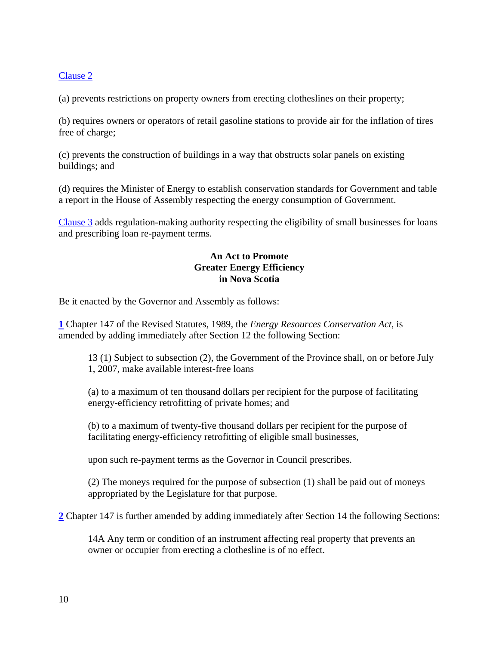# [Clause 2](http://www.gov.ns.ca/LEGISLATURE/LEGC/bills/60th_1st/1st_read/b185.htm#s2)

(a) prevents restrictions on property owners from erecting clotheslines on their property;

(b) requires owners or operators of retail gasoline stations to provide air for the inflation of tires free of charge;

(c) prevents the construction of buildings in a way that obstructs solar panels on existing buildings; and

(d) requires the Minister of Energy to establish conservation standards for Government and table a report in the House of Assembly respecting the energy consumption of Government.

[Clause 3](http://www.gov.ns.ca/LEGISLATURE/LEGC/bills/60th_1st/1st_read/b185.htm#s3) adds regulation-making authority respecting the eligibility of small businesses for loans and prescribing loan re-payment terms.

# **An Act to Promote Greater Energy Efficiency in Nova Scotia**

Be it enacted by the Governor and Assembly as follows:

**[1](http://www.gov.ns.ca/LEGISLATURE/LEGC/bills/60th_1st/1st_read/b185.htm#n1)** Chapter 147 of the Revised Statutes, 1989, the *Energy Resources Conservation Act*, is amended by adding immediately after Section 12 the following Section:

13 (1) Subject to subsection (2), the Government of the Province shall, on or before July 1, 2007, make available interest-free loans

(a) to a maximum of ten thousand dollars per recipient for the purpose of facilitating energy-efficiency retrofitting of private homes; and

(b) to a maximum of twenty-five thousand dollars per recipient for the purpose of facilitating energy-efficiency retrofitting of eligible small businesses,

upon such re-payment terms as the Governor in Council prescribes.

(2) The moneys required for the purpose of subsection (1) shall be paid out of moneys appropriated by the Legislature for that purpose.

**[2](http://www.gov.ns.ca/LEGISLATURE/LEGC/bills/60th_1st/1st_read/b185.htm#n2)** Chapter 147 is further amended by adding immediately after Section 14 the following Sections:

14A Any term or condition of an instrument affecting real property that prevents an owner or occupier from erecting a clothesline is of no effect.